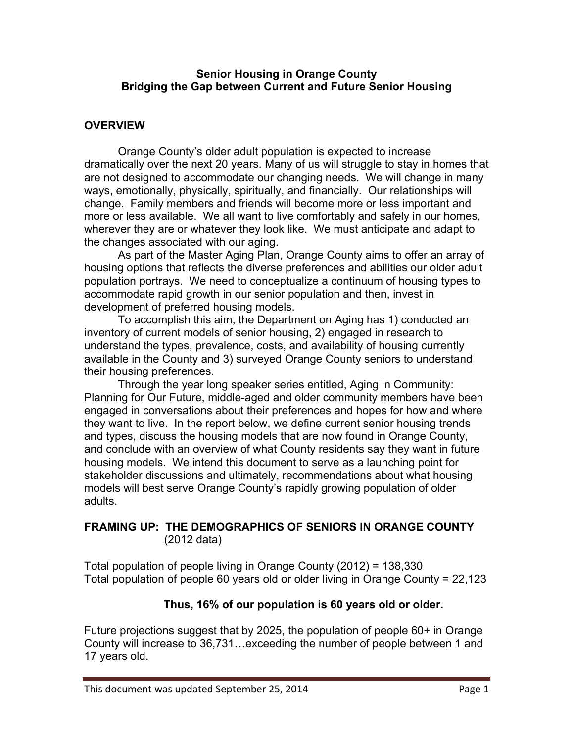#### **Senior Housing in Orange County Bridging the Gap between Current and Future Senior Housing**

### **OVERVIEW**

Orange County's older adult population is expected to increase dramatically over the next 20 years. Many of us will struggle to stay in homes that are not designed to accommodate our changing needs. We will change in many ways, emotionally, physically, spiritually, and financially. Our relationships will change. Family members and friends will become more or less important and more or less available. We all want to live comfortably and safely in our homes, wherever they are or whatever they look like. We must anticipate and adapt to the changes associated with our aging.

As part of the Master Aging Plan, Orange County aims to offer an array of housing options that reflects the diverse preferences and abilities our older adult population portrays. We need to conceptualize a continuum of housing types to accommodate rapid growth in our senior population and then, invest in development of preferred housing models.

To accomplish this aim, the Department on Aging has 1) conducted an inventory of current models of senior housing, 2) engaged in research to understand the types, prevalence, costs, and availability of housing currently available in the County and 3) surveyed Orange County seniors to understand their housing preferences.

Through the year long speaker series entitled, Aging in Community: Planning for Our Future, middle-aged and older community members have been engaged in conversations about their preferences and hopes for how and where they want to live. In the report below, we define current senior housing trends and types, discuss the housing models that are now found in Orange County, and conclude with an overview of what County residents say they want in future housing models. We intend this document to serve as a launching point for stakeholder discussions and ultimately, recommendations about what housing models will best serve Orange County's rapidly growing population of older adults.

### **FRAMING UP: THE DEMOGRAPHICS OF SENIORS IN ORANGE COUNTY** (2012 data)

Total population of people living in Orange County (2012) = 138,330 Total population of people 60 years old or older living in Orange County = 22,123

#### **Thus, 16% of our population is 60 years old or older.**

Future projections suggest that by 2025, the population of people 60+ in Orange County will increase to 36,731…exceeding the number of people between 1 and 17 years old.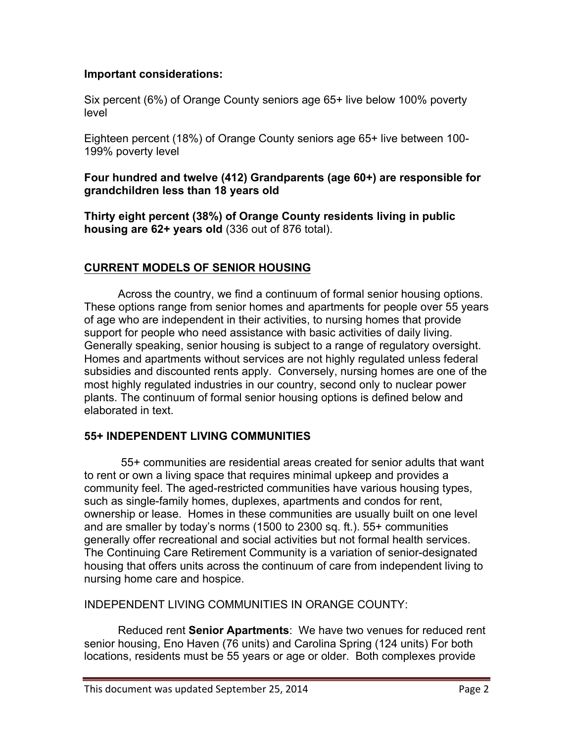### **Important considerations:**

Six percent (6%) of Orange County seniors age 65+ live below 100% poverty level

Eighteen percent (18%) of Orange County seniors age 65+ live between 100- 199% poverty level

### **Four hundred and twelve (412) Grandparents (age 60+) are responsible for grandchildren less than 18 years old**

**Thirty eight percent (38%) of Orange County residents living in public housing are 62+ years old** (336 out of 876 total).

# **CURRENT MODELS OF SENIOR HOUSING**

Across the country, we find a continuum of formal senior housing options. These options range from senior homes and apartments for people over 55 years of age who are independent in their activities, to nursing homes that provide support for people who need assistance with basic activities of daily living. Generally speaking, senior housing is subject to a range of regulatory oversight. Homes and apartments without services are not highly regulated unless federal subsidies and discounted rents apply. Conversely, nursing homes are one of the most highly regulated industries in our country, second only to nuclear power plants. The continuum of formal senior housing options is defined below and elaborated in text.

## **55+ INDEPENDENT LIVING COMMUNITIES**

55+ communities are residential areas created for senior adults that want to rent or own a living space that requires minimal upkeep and provides a community feel. The aged-restricted communities have various housing types, such as single-family homes, duplexes, apartments and condos for rent, ownership or lease. Homes in these communities are usually built on one level and are smaller by today's norms (1500 to 2300 sq. ft.). 55+ communities generally offer recreational and social activities but not formal health services. The Continuing Care Retirement Community is a variation of senior-designated housing that offers units across the continuum of care from independent living to nursing home care and hospice.

INDEPENDENT LIVING COMMUNITIES IN ORANGE COUNTY:

Reduced rent **Senior Apartments**: We have two venues for reduced rent senior housing, Eno Haven (76 units) and Carolina Spring (124 units) For both locations, residents must be 55 years or age or older. Both complexes provide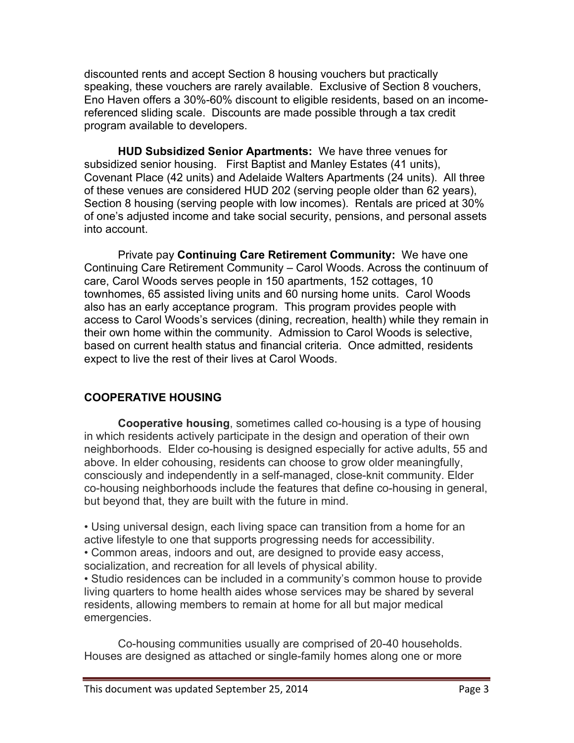discounted rents and accept Section 8 housing vouchers but practically speaking, these vouchers are rarely available. Exclusive of Section 8 vouchers, Eno Haven offers a 30%-60% discount to eligible residents, based on an incomereferenced sliding scale. Discounts are made possible through a tax credit program available to developers.

**HUD Subsidized Senior Apartments:** We have three venues for subsidized senior housing. First Baptist and Manley Estates (41 units), Covenant Place (42 units) and Adelaide Walters Apartments (24 units). All three of these venues are considered HUD 202 (serving people older than 62 years), Section 8 housing (serving people with low incomes). Rentals are priced at 30% of one's adjusted income and take social security, pensions, and personal assets into account.

Private pay **Continuing Care Retirement Community:** We have one Continuing Care Retirement Community – Carol Woods. Across the continuum of care, Carol Woods serves people in 150 apartments, 152 cottages, 10 townhomes, 65 assisted living units and 60 nursing home units. Carol Woods also has an early acceptance program. This program provides people with access to Carol Woods's services (dining, recreation, health) while they remain in their own home within the community. Admission to Carol Woods is selective, based on current health status and financial criteria. Once admitted, residents expect to live the rest of their lives at Carol Woods.

# **COOPERATIVE HOUSING**

**Cooperative housing**, sometimes called co-housing is a type of housing in which residents actively participate in the design and operation of their own neighborhoods. Elder co-housing is designed especially for active adults, 55 and above. In elder cohousing, residents can choose to grow older meaningfully, consciously and independently in a self-managed, close-knit community. Elder co-housing neighborhoods include the features that define co-housing in general, but beyond that, they are built with the future in mind.

• Using universal design, each living space can transition from a home for an active lifestyle to one that supports progressing needs for accessibility.

• Common areas, indoors and out, are designed to provide easy access, socialization, and recreation for all levels of physical ability.

• Studio residences can be included in a community's common house to provide living quarters to home health aides whose services may be shared by several residents, allowing members to remain at home for all but major medical emergencies.

Co-housing communities usually are comprised of 20-40 households. Houses are designed as attached or single-family homes along one or more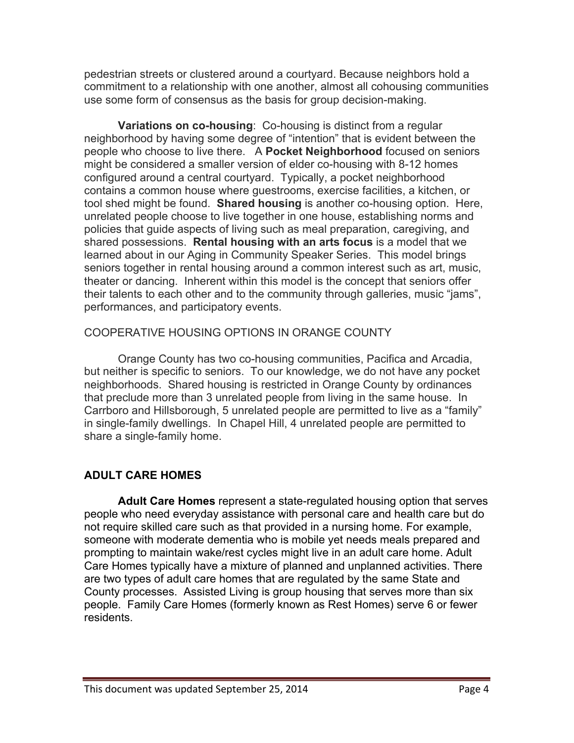pedestrian streets or clustered around a courtyard. Because neighbors hold a commitment to a relationship with one another, almost all cohousing communities use some form of consensus as the basis for group decision-making.

**Variations on co-housing**: Co-housing is distinct from a regular neighborhood by having some degree of "intention" that is evident between the people who choose to live there. A **Pocket Neighborhood** focused on seniors might be considered a smaller version of elder co-housing with 8-12 homes configured around a central courtyard. Typically, a pocket neighborhood contains a common house where guestrooms, exercise facilities, a kitchen, or tool shed might be found. **Shared housing** is another co-housing option. Here, unrelated people choose to live together in one house, establishing norms and policies that guide aspects of living such as meal preparation, caregiving, and shared possessions. **Rental housing with an arts focus** is a model that we learned about in our Aging in Community Speaker Series. This model brings seniors together in rental housing around a common interest such as art, music, theater or dancing. Inherent within this model is the concept that seniors offer their talents to each other and to the community through galleries, music "jams", performances, and participatory events.

# COOPERATIVE HOUSING OPTIONS IN ORANGE COUNTY

Orange County has two co-housing communities, Pacifica and Arcadia, but neither is specific to seniors. To our knowledge, we do not have any pocket neighborhoods. Shared housing is restricted in Orange County by ordinances that preclude more than 3 unrelated people from living in the same house. In Carrboro and Hillsborough, 5 unrelated people are permitted to live as a "family" in single-family dwellings. In Chapel Hill, 4 unrelated people are permitted to share a single-family home.

# **ADULT CARE HOMES**

**Adult Care Homes** represent a state-regulated housing option that serves people who need everyday assistance with personal care and health care but do not require skilled care such as that provided in a nursing home. For example, someone with moderate dementia who is mobile yet needs meals prepared and prompting to maintain wake/rest cycles might live in an adult care home. Adult Care Homes typically have a mixture of planned and unplanned activities. There are two types of adult care homes that are regulated by the same State and County processes. Assisted Living is group housing that serves more than six people. Family Care Homes (formerly known as Rest Homes) serve 6 or fewer residents.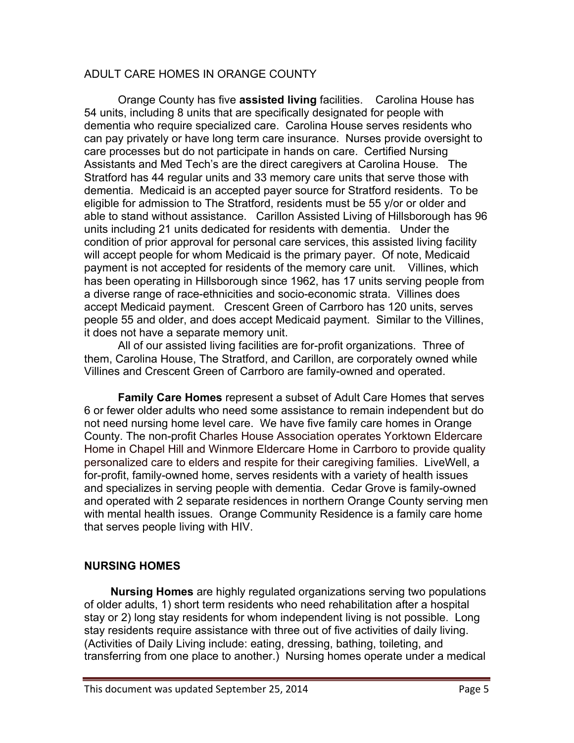### ADULT CARE HOMES IN ORANGE COUNTY

Orange County has five **assisted living** facilities. Carolina House has 54 units, including 8 units that are specifically designated for people with dementia who require specialized care.Carolina House serves residents who can pay privately or have long term care insurance.Nurses provide oversight to care processes but do not participate in hands on care. Certified Nursing Assistants and Med Tech's are the direct caregivers at Carolina House. The Stratford has 44 regular units and 33 memory care units that serve those with dementia. Medicaid is an accepted payer source for Stratford residents. To be eligible for admission to The Stratford, residents must be 55 y/or or older and able to stand without assistance. Carillon Assisted Living of Hillsborough has 96 units including 21 units dedicated for residents with dementia. Under the condition of prior approval for personal care services, this assisted living facility will accept people for whom Medicaid is the primary payer. Of note, Medicaid payment is not accepted for residents of the memory care unit. Villines, which has been operating in Hillsborough since 1962, has 17 units serving people from a diverse range of race-ethnicities and socio-economic strata. Villines does accept Medicaid payment. Crescent Green of Carrboro has 120 units, serves people 55 and older, and does accept Medicaid payment. Similar to the Villines, it does not have a separate memory unit.

All of our assisted living facilities are for-profit organizations. Three of them, Carolina House, The Stratford, and Carillon, are corporately owned while Villines and Crescent Green of Carrboro are family-owned and operated.

**Family Care Homes** represent a subset of Adult Care Homes that serves 6 or fewer older adults who need some assistance to remain independent but do not need nursing home level care. We have five family care homes in Orange County. The non-profit Charles House Association operates Yorktown Eldercare Home in Chapel Hill and Winmore Eldercare Home in Carrboro to provide quality personalized care to elders and respite for their caregiving families. LiveWell, a for-profit, family-owned home, serves residents with a variety of health issues and specializes in serving people with dementia. Cedar Grove is family-owned and operated with 2 separate residences in northern Orange County serving men with mental health issues. Orange Community Residence is a family care home that serves people living with HIV.

## **NURSING HOMES**

 **Nursing Homes** are highly regulated organizations serving two populations of older adults, 1) short term residents who need rehabilitation after a hospital stay or 2) long stay residents for whom independent living is not possible. Long stay residents require assistance with three out of five activities of daily living. (Activities of Daily Living include: eating, dressing, bathing, toileting, and transferring from one place to another.) Nursing homes operate under a medical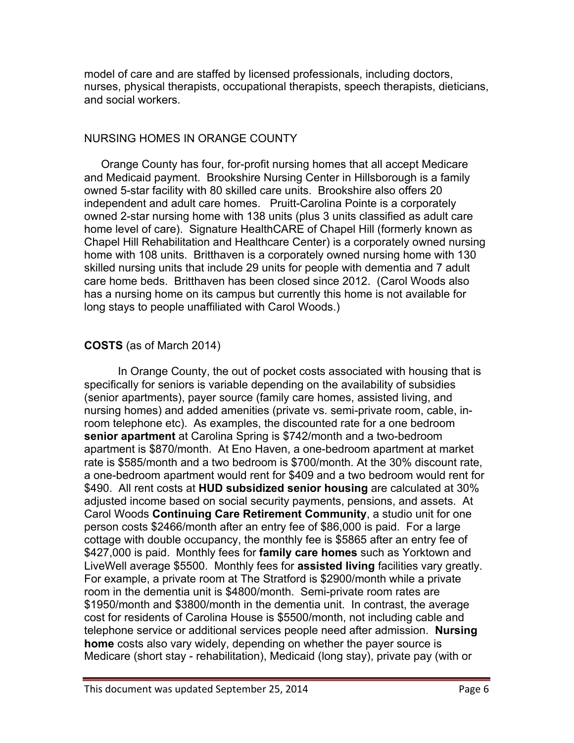model of care and are staffed by licensed professionals, including doctors, nurses, physical therapists, occupational therapists, speech therapists, dieticians, and social workers.

### NURSING HOMES IN ORANGE COUNTY

Orange County has four, for-profit nursing homes that all accept Medicare and Medicaid payment. Brookshire Nursing Center in Hillsborough is a family owned 5-star facility with 80 skilled care units. Brookshire also offers 20 independent and adult care homes. Pruitt-Carolina Pointe is a corporately owned 2-star nursing home with 138 units (plus 3 units classified as adult care home level of care). Signature HealthCARE of Chapel Hill (formerly known as Chapel Hill Rehabilitation and Healthcare Center) is a corporately owned nursing home with 108 units. Britthaven is a corporately owned nursing home with 130 skilled nursing units that include 29 units for people with dementia and 7 adult care home beds. Britthaven has been closed since 2012. (Carol Woods also has a nursing home on its campus but currently this home is not available for long stays to people unaffiliated with Carol Woods.)

# **COSTS** (as of March 2014)

In Orange County, the out of pocket costs associated with housing that is specifically for seniors is variable depending on the availability of subsidies (senior apartments), payer source (family care homes, assisted living, and nursing homes) and added amenities (private vs. semi-private room, cable, inroom telephone etc). As examples, the discounted rate for a one bedroom **senior apartment** at Carolina Spring is \$742/month and a two-bedroom apartment is \$870/month. At Eno Haven, a one-bedroom apartment at market rate is \$585/month and a two bedroom is \$700/month. At the 30% discount rate, a one-bedroom apartment would rent for \$409 and a two bedroom would rent for \$490. All rent costs at **HUD subsidized senior housing** are calculated at 30% adjusted income based on social security payments, pensions, and assets. At Carol Woods **Continuing Care Retirement Community**, a studio unit for one person costs \$2466/month after an entry fee of \$86,000 is paid. For a large cottage with double occupancy, the monthly fee is \$5865 after an entry fee of \$427,000 is paid. Monthly fees for **family care homes** such as Yorktown and LiveWell average \$5500. Monthly fees for **assisted living** facilities vary greatly. For example, a private room at The Stratford is \$2900/month while a private room in the dementia unit is \$4800/month. Semi-private room rates are \$1950/month and \$3800/month in the dementia unit. In contrast, the average cost for residents of Carolina House is \$5500/month, not including cable and telephone service or additional services people need after admission. **Nursing home** costs also vary widely, depending on whether the payer source is Medicare (short stay - rehabilitation), Medicaid (long stay), private pay (with or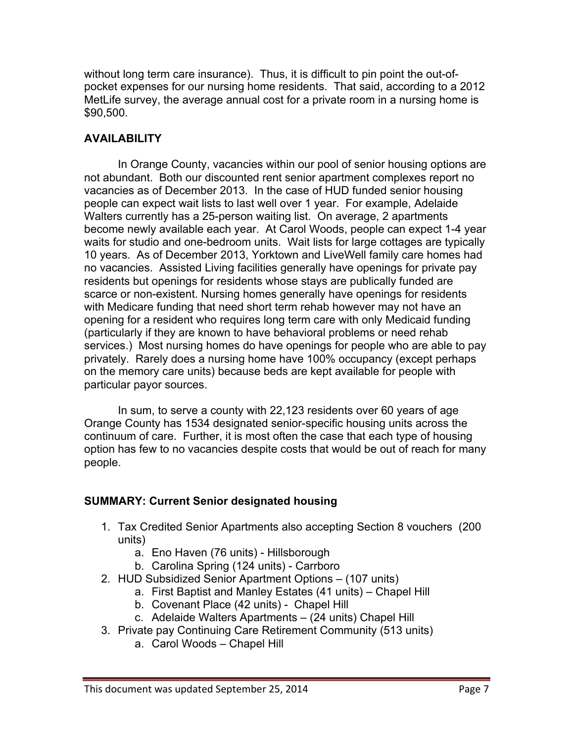without long term care insurance). Thus, it is difficult to pin point the out-ofpocket expenses for our nursing home residents. That said, according to a 2012 MetLife survey, the average annual cost for a private room in a nursing home is \$90,500.

# **AVAILABILITY**

In Orange County, vacancies within our pool of senior housing options are not abundant. Both our discounted rent senior apartment complexes report no vacancies as of December 2013. In the case of HUD funded senior housing people can expect wait lists to last well over 1 year. For example, Adelaide Walters currently has a 25-person waiting list. On average, 2 apartments become newly available each year. At Carol Woods, people can expect 1-4 year waits for studio and one-bedroom units. Wait lists for large cottages are typically 10 years. As of December 2013, Yorktown and LiveWell family care homes had no vacancies. Assisted Living facilities generally have openings for private pay residents but openings for residents whose stays are publically funded are scarce or non-existent. Nursing homes generally have openings for residents with Medicare funding that need short term rehab however may not have an opening for a resident who requires long term care with only Medicaid funding (particularly if they are known to have behavioral problems or need rehab services.) Most nursing homes do have openings for people who are able to pay privately. Rarely does a nursing home have 100% occupancy (except perhaps on the memory care units) because beds are kept available for people with particular payor sources.

In sum, to serve a county with 22,123 residents over 60 years of age Orange County has 1534 designated senior-specific housing units across the continuum of care. Further, it is most often the case that each type of housing option has few to no vacancies despite costs that would be out of reach for many people.

## **SUMMARY: Current Senior designated housing**

- 1. Tax Credited Senior Apartments also accepting Section 8 vouchers (200 units)
	- a. Eno Haven (76 units) Hillsborough
	- b. Carolina Spring (124 units) Carrboro
- 2. HUD Subsidized Senior Apartment Options (107 units)
	- a. First Baptist and Manley Estates (41 units) Chapel Hill
	- b. Covenant Place (42 units) Chapel Hill
	- c. Adelaide Walters Apartments (24 units) Chapel Hill
- 3. Private pay Continuing Care Retirement Community (513 units)
	- a. Carol Woods Chapel Hill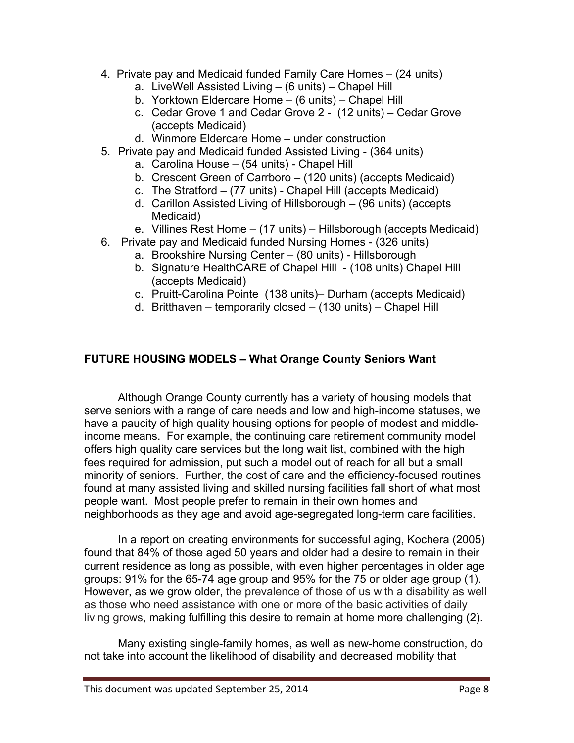- 4. Private pay and Medicaid funded Family Care Homes (24 units)
	- a. LiveWell Assisted Living (6 units) Chapel Hill
	- b. Yorktown Eldercare Home (6 units) Chapel Hill
	- c. Cedar Grove 1 and Cedar Grove 2 (12 units) Cedar Grove (accepts Medicaid)
	- d. Winmore Eldercare Home under construction
- 5. Private pay and Medicaid funded Assisted Living (364 units)
	- a. Carolina House (54 units) Chapel Hill
	- b. Crescent Green of Carrboro (120 units) (accepts Medicaid)
	- c. The Stratford (77 units) Chapel Hill (accepts Medicaid)
	- d. Carillon Assisted Living of Hillsborough (96 units) (accepts Medicaid)
	- e. Villines Rest Home (17 units) Hillsborough (accepts Medicaid)
- 6. Private pay and Medicaid funded Nursing Homes (326 units)
	- a. Brookshire Nursing Center (80 units) Hillsborough
	- b. Signature HealthCARE of Chapel Hill (108 units) Chapel Hill (accepts Medicaid)
	- c. Pruitt-Carolina Pointe (138 units)– Durham (accepts Medicaid)
	- d. Britthaven temporarily closed (130 units) Chapel Hill

## **FUTURE HOUSING MODELS – What Orange County Seniors Want**

Although Orange County currently has a variety of housing models that serve seniors with a range of care needs and low and high-income statuses, we have a paucity of high quality housing options for people of modest and middleincome means. For example, the continuing care retirement community model offers high quality care services but the long wait list, combined with the high fees required for admission, put such a model out of reach for all but a small minority of seniors. Further, the cost of care and the efficiency-focused routines found at many assisted living and skilled nursing facilities fall short of what most people want. Most people prefer to remain in their own homes and neighborhoods as they age and avoid age-segregated long-term care facilities.

In a report on creating environments for successful aging, Kochera (2005) found that 84% of those aged 50 years and older had a desire to remain in their current residence as long as possible, with even higher percentages in older age groups: 91% for the 65-74 age group and 95% for the 75 or older age group (1). However, as we grow older, the prevalence of those of us with a disability as well as those who need assistance with one or more of the basic activities of daily living grows, making fulfilling this desire to remain at home more challenging (2).

Many existing single-family homes, as well as new-home construction, do not take into account the likelihood of disability and decreased mobility that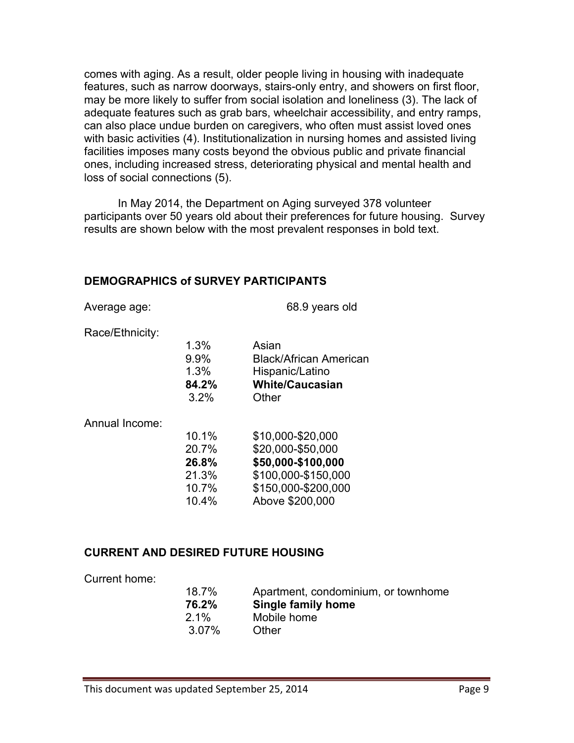comes with aging. As a result, older people living in housing with inadequate features, such as narrow doorways, stairs-only entry, and showers on first floor, may be more likely to suffer from social isolation and loneliness (3). The lack of adequate features such as grab bars, wheelchair accessibility, and entry ramps, can also place undue burden on caregivers, who often must assist loved ones with basic activities (4). Institutionalization in nursing homes and assisted living facilities imposes many costs beyond the obvious public and private financial ones, including increased stress, deteriorating physical and mental health and loss of social connections (5).

In May 2014, the Department on Aging surveyed 378 volunteer participants over 50 years old about their preferences for future housing. Survey results are shown below with the most prevalent responses in bold text.

#### **DEMOGRAPHICS of SURVEY PARTICIPANTS**

Average age: 68.9 years old

Race/Ethnicity:

|    | 1.3%    | Asian                         |
|----|---------|-------------------------------|
|    | 9.9%    | <b>Black/African American</b> |
|    | 1.3%    | Hispanic/Latino               |
|    | 84.2%   | <b>White/Caucasian</b>        |
|    | $3.2\%$ | Other                         |
|    |         |                               |
| ò. |         |                               |

Annual Income:

| \$10,000-\$20,000   |
|---------------------|
| \$20,000-\$50,000   |
| \$50,000-\$100,000  |
| \$100,000-\$150,000 |
| \$150,000-\$200.000 |
| Above \$200,000     |
|                     |

#### **CURRENT AND DESIRED FUTURE HOUSING**

Current home:

| Apartment, condominium, or townhome |
|-------------------------------------|
| <b>Single family home</b>           |
| Mobile home                         |
| Other                               |
|                                     |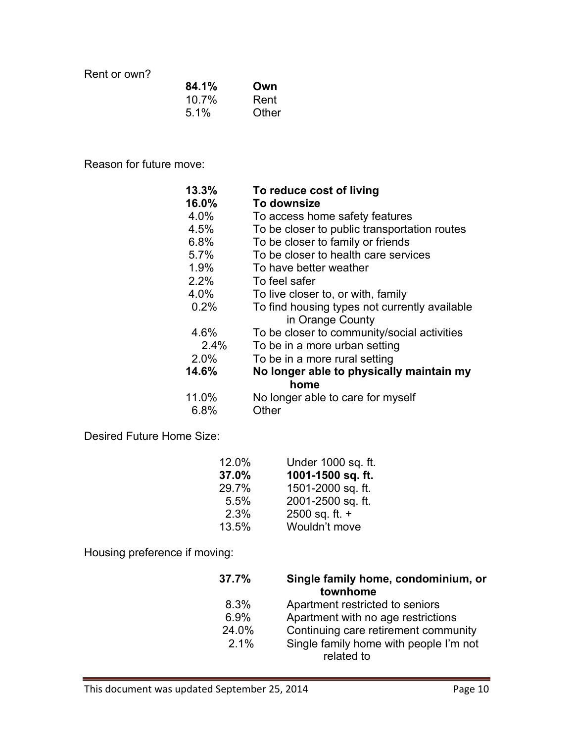Rent or own?

| 84.1% | Own   |
|-------|-------|
| 10.7% | Rent  |
| 5.1%  | Other |

Reason for future move:

| 13.3% | To reduce cost of living                                          |
|-------|-------------------------------------------------------------------|
| 16.0% | To downsize                                                       |
| 4.0%  | To access home safety features                                    |
| 4.5%  | To be closer to public transportation routes                      |
| 6.8%  | To be closer to family or friends                                 |
| 5.7%  | To be closer to health care services                              |
| 1.9%  | To have better weather                                            |
| 2.2%  | To feel safer                                                     |
| 4.0%  | To live closer to, or with, family                                |
| 0.2%  | To find housing types not currently available<br>in Orange County |
| 4.6%  | To be closer to community/social activities                       |
| 2.4%  | To be in a more urban setting                                     |
| 2.0%  | To be in a more rural setting                                     |
| 14.6% | No longer able to physically maintain my                          |
|       | home                                                              |
| 11.0% | No longer able to care for myself                                 |
| 6.8%  | Other                                                             |

Desired Future Home Size:

| 12.0% | Under 1000 sq. ft. |
|-------|--------------------|
| 37.0% | 1001-1500 sq. ft.  |
| 29.7% | 1501-2000 sq. ft.  |
| 5.5%  | 2001-2500 sq. ft.  |
| 2.3%  | 2500 sq. ft. $+$   |
| 13.5% | Wouldn't move      |

Housing preference if moving:

| 37.7% | Single family home, condominium, or<br>townhome |
|-------|-------------------------------------------------|
| 8.3%  | Apartment restricted to seniors                 |
| 6.9%  | Apartment with no age restrictions              |
| 24.0% | Continuing care retirement community            |
| 2.1%  | Single family home with people I'm not          |
|       | related to                                      |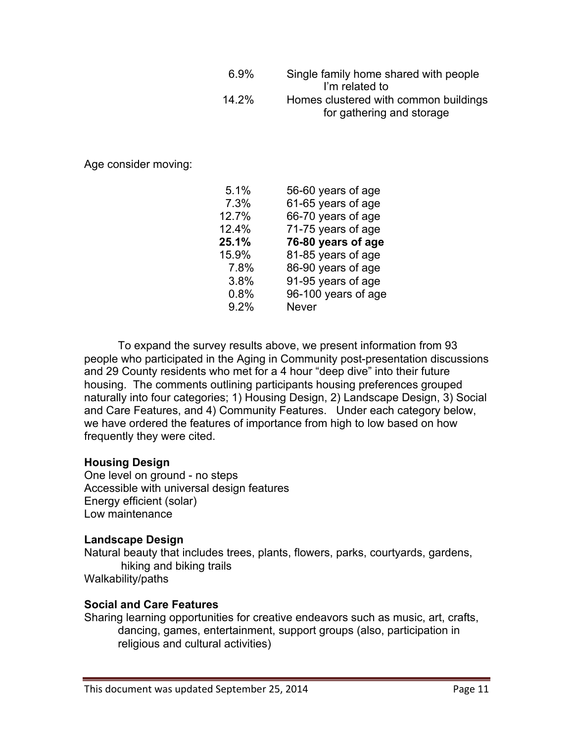| 6.9%  | Single family home shared with people |
|-------|---------------------------------------|
|       | I'm related to                        |
| 14.2% | Homes clustered with common buildings |
|       | for gathering and storage             |

Age consider moving:

| 5.1%  | 56-60 years of age  |
|-------|---------------------|
| 7.3%  | 61-65 years of age  |
| 12.7% | 66-70 years of age  |
| 12.4% | 71-75 years of age  |
| 25.1% | 76-80 years of age  |
| 15.9% | 81-85 years of age  |
| 7.8%  | 86-90 years of age  |
| 3.8%  | 91-95 years of age  |
| 0.8%  | 96-100 years of age |
| 9.2%  | <b>Never</b>        |
|       |                     |

To expand the survey results above, we present information from 93 people who participated in the Aging in Community post-presentation discussions and 29 County residents who met for a 4 hour "deep dive" into their future housing. The comments outlining participants housing preferences grouped naturally into four categories; 1) Housing Design, 2) Landscape Design, 3) Social and Care Features, and 4) Community Features. Under each category below, we have ordered the features of importance from high to low based on how frequently they were cited.

#### **Housing Design**

One level on ground - no steps Accessible with universal design features Energy efficient (solar) Low maintenance

#### **Landscape Design**

Natural beauty that includes trees, plants, flowers, parks, courtyards, gardens, hiking and biking trails Walkability/paths

#### **Social and Care Features**

Sharing learning opportunities for creative endeavors such as music, art, crafts, dancing, games, entertainment, support groups (also, participation in religious and cultural activities)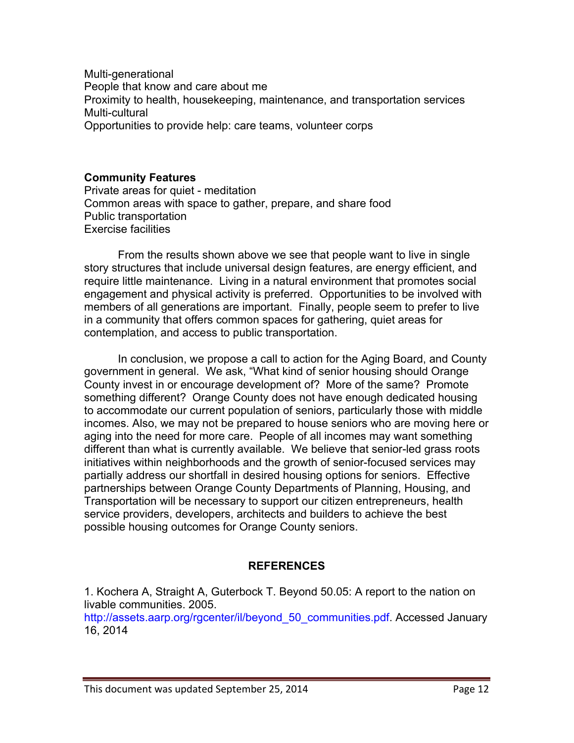Multi-generational People that know and care about me Proximity to health, housekeeping, maintenance, and transportation services Multi-cultural Opportunities to provide help: care teams, volunteer corps

#### **Community Features**

Private areas for quiet - meditation Common areas with space to gather, prepare, and share food Public transportation Exercise facilities

From the results shown above we see that people want to live in single story structures that include universal design features, are energy efficient, and require little maintenance. Living in a natural environment that promotes social engagement and physical activity is preferred. Opportunities to be involved with members of all generations are important. Finally, people seem to prefer to live in a community that offers common spaces for gathering, quiet areas for contemplation, and access to public transportation.

In conclusion, we propose a call to action for the Aging Board, and County government in general. We ask, "What kind of senior housing should Orange County invest in or encourage development of? More of the same? Promote something different? Orange County does not have enough dedicated housing to accommodate our current population of seniors, particularly those with middle incomes. Also, we may not be prepared to house seniors who are moving here or aging into the need for more care. People of all incomes may want something different than what is currently available. We believe that senior-led grass roots initiatives within neighborhoods and the growth of senior-focused services may partially address our shortfall in desired housing options for seniors. Effective partnerships between Orange County Departments of Planning, Housing, and Transportation will be necessary to support our citizen entrepreneurs, health service providers, developers, architects and builders to achieve the best possible housing outcomes for Orange County seniors.

#### **REFERENCES**

1. Kochera A, Straight A, Guterbock T. Beyond 50.05: A report to the nation on livable communities. 2005.

http://assets.aarp.org/rgcenter/il/beyond\_50\_communities.pdf. Accessed January 16, 2014